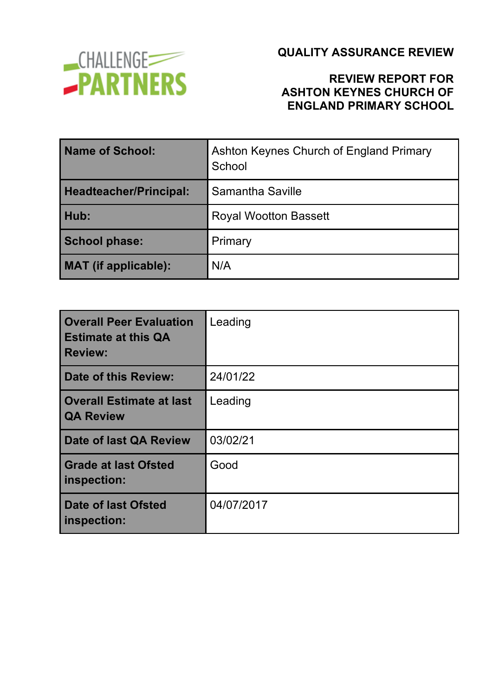

## **REVIEW REPORT FOR ASHTON KEYNES CHURCH OF ENGLAND PRIMARY SCHOOL**

| <b>Name of School:</b>        | Ashton Keynes Church of England Primary<br>School |
|-------------------------------|---------------------------------------------------|
| <b>Headteacher/Principal:</b> | Samantha Saville                                  |
| Hub:                          | <b>Royal Wootton Bassett</b>                      |
| <b>School phase:</b>          | Primary                                           |
| <b>MAT</b> (if applicable):   | N/A                                               |

| <b>Overall Peer Evaluation</b><br><b>Estimate at this QA</b><br><b>Review:</b> | Leading    |
|--------------------------------------------------------------------------------|------------|
| <b>Date of this Review:</b>                                                    | 24/01/22   |
| <b>Overall Estimate at last</b><br><b>QA Review</b>                            | Leading    |
| Date of last QA Review                                                         | 03/02/21   |
| <b>Grade at last Ofsted</b><br>inspection:                                     | Good       |
| <b>Date of last Ofsted</b><br>inspection:                                      | 04/07/2017 |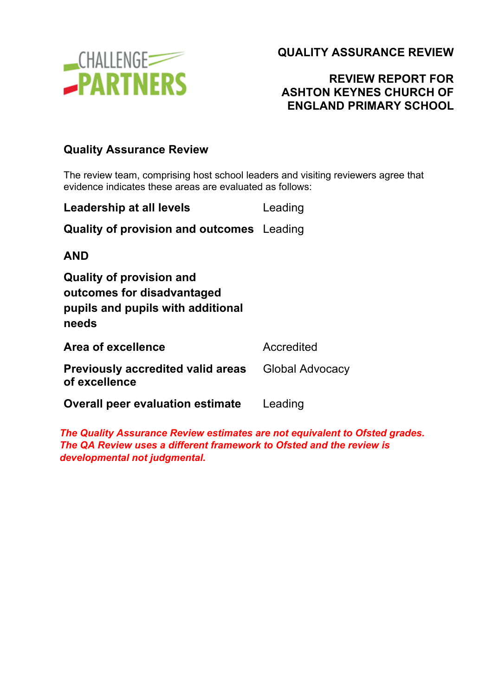

## **REVIEW REPORT FOR ASHTON KEYNES CHURCH OF ENGLAND PRIMARY SCHOOL**

#### **Quality Assurance Review**

The review team, comprising host school leaders and visiting reviewers agree that evidence indicates these areas are evaluated as follows:

| Leadership at all levels                                                                                    | Leading                |
|-------------------------------------------------------------------------------------------------------------|------------------------|
| <b>Quality of provision and outcomes</b> Leading                                                            |                        |
| <b>AND</b>                                                                                                  |                        |
| <b>Quality of provision and</b><br>outcomes for disadvantaged<br>pupils and pupils with additional<br>needs |                        |
| Area of excellence                                                                                          | Accredited             |
| <b>Previously accredited valid areas</b><br>of excellence                                                   | <b>Global Advocacy</b> |
| <b>Overall peer evaluation estimate</b>                                                                     | Leading                |
|                                                                                                             |                        |

*The Quality Assurance Review estimates are not equivalent to Ofsted grades. The QA Review uses a different framework to Ofsted and the review is developmental not judgmental.*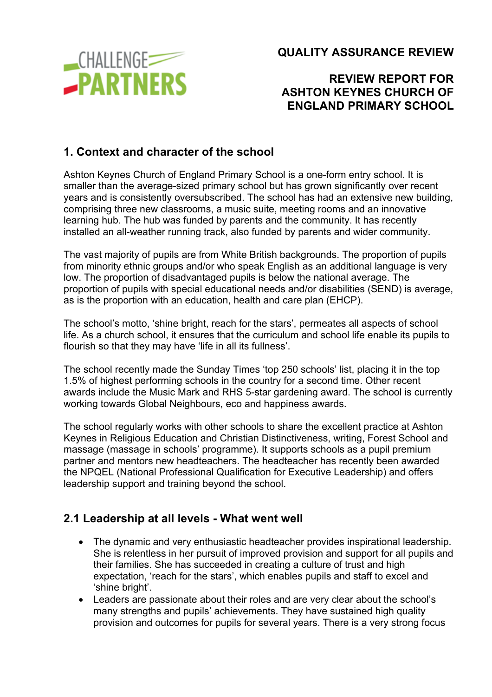

## **REVIEW REPORT FOR ASHTON KEYNES CHURCH OF ENGLAND PRIMARY SCHOOL**

## **1. Context and character of the school**

Ashton Keynes Church of England Primary School is a one-form entry school. It is smaller than the average-sized primary school but has grown significantly over recent years and is consistently oversubscribed. The school has had an extensive new building, comprising three new classrooms, a music suite, meeting rooms and an innovative learning hub. The hub was funded by parents and the community. It has recently installed an all-weather running track, also funded by parents and wider community.

The vast majority of pupils are from White British backgrounds. The proportion of pupils from minority ethnic groups and/or who speak English as an additional language is very low. The proportion of disadvantaged pupils is below the national average. The proportion of pupils with special educational needs and/or disabilities (SEND) is average, as is the proportion with an education, health and care plan (EHCP).

The school's motto, 'shine bright, reach for the stars', permeates all aspects of school life. As a church school, it ensures that the curriculum and school life enable its pupils to flourish so that they may have 'life in all its fullness'.

The school recently made the Sunday Times 'top 250 schools' list, placing it in the top 1.5% of highest performing schools in the country for a second time. Other recent awards include the Music Mark and RHS 5-star gardening award. The school is currently working towards Global Neighbours, eco and happiness awards.

The school regularly works with other schools to share the excellent practice at Ashton Keynes in Religious Education and Christian Distinctiveness, writing, Forest School and massage (massage in schools' programme). It supports schools as a pupil premium partner and mentors new headteachers. The headteacher has recently been awarded the NPQEL (National Professional Qualification for Executive Leadership) and offers leadership support and training beyond the school.

### **2.1 Leadership at all levels - What went well**

- The dynamic and very enthusiastic headteacher provides inspirational leadership. She is relentless in her pursuit of improved provision and support for all pupils and their families. She has succeeded in creating a culture of trust and high expectation, 'reach for the stars', which enables pupils and staff to excel and 'shine bright'.
- Leaders are passionate about their roles and are very clear about the school's many strengths and pupils' achievements. They have sustained high quality provision and outcomes for pupils for several years. There is a very strong focus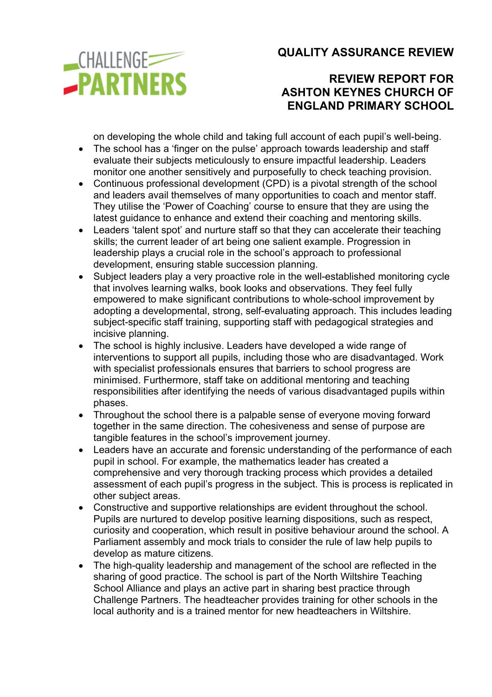**CHALLENGE -PARTNERS** 

### **QUALITY ASSURANCE REVIEW**

### **REVIEW REPORT FOR ASHTON KEYNES CHURCH OF ENGLAND PRIMARY SCHOOL**

on developing the whole child and taking full account of each pupil's well-being.

- The school has a 'finger on the pulse' approach towards leadership and staff evaluate their subjects meticulously to ensure impactful leadership. Leaders monitor one another sensitively and purposefully to check teaching provision.
- Continuous professional development (CPD) is a pivotal strength of the school and leaders avail themselves of many opportunities to coach and mentor staff. They utilise the 'Power of Coaching' course to ensure that they are using the latest guidance to enhance and extend their coaching and mentoring skills.
- Leaders 'talent spot' and nurture staff so that they can accelerate their teaching skills; the current leader of art being one salient example. Progression in leadership plays a crucial role in the school's approach to professional development, ensuring stable succession planning.
- Subject leaders play a very proactive role in the well-established monitoring cycle that involves learning walks, book looks and observations. They feel fully empowered to make significant contributions to whole-school improvement by adopting a developmental, strong, self-evaluating approach. This includes leading subject-specific staff training, supporting staff with pedagogical strategies and incisive planning.
- The school is highly inclusive. Leaders have developed a wide range of interventions to support all pupils, including those who are disadvantaged. Work with specialist professionals ensures that barriers to school progress are minimised. Furthermore, staff take on additional mentoring and teaching responsibilities after identifying the needs of various disadvantaged pupils within phases.
- Throughout the school there is a palpable sense of everyone moving forward together in the same direction. The cohesiveness and sense of purpose are tangible features in the school's improvement journey.
- Leaders have an accurate and forensic understanding of the performance of each pupil in school. For example, the mathematics leader has created a comprehensive and very thorough tracking process which provides a detailed assessment of each pupil's progress in the subject. This is process is replicated in other subject areas.
- Constructive and supportive relationships are evident throughout the school. Pupils are nurtured to develop positive learning dispositions, such as respect, curiosity and cooperation, which result in positive behaviour around the school. A Parliament assembly and mock trials to consider the rule of law help pupils to develop as mature citizens.
- The high-quality leadership and management of the school are reflected in the sharing of good practice. The school is part of the North Wiltshire Teaching School Alliance and plays an active part in sharing best practice through Challenge Partners. The headteacher provides training for other schools in the local authority and is a trained mentor for new headteachers in Wiltshire.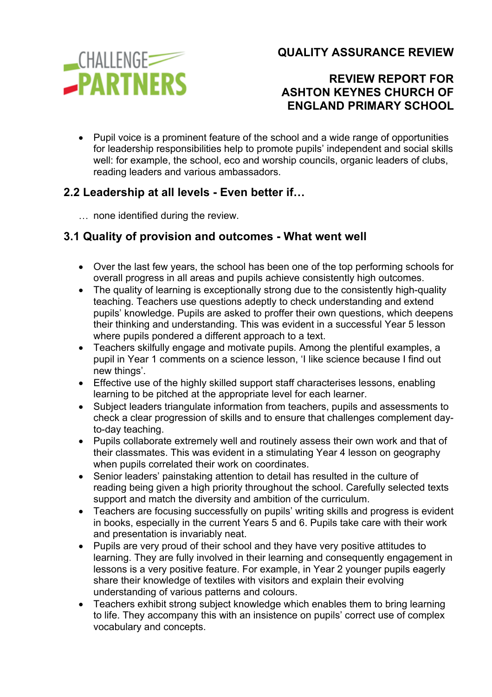

#### **REVIEW REPORT FOR ASHTON KEYNES CHURCH OF ENGLAND PRIMARY SCHOOL**

• Pupil voice is a prominent feature of the school and a wide range of opportunities for leadership responsibilities help to promote pupils' independent and social skills well: for example, the school, eco and worship councils, organic leaders of clubs, reading leaders and various ambassadors.

## **2.2 Leadership at all levels - Even better if…**

… none identified during the review.

# **3.1 Quality of provision and outcomes - What went well**

- Over the last few years, the school has been one of the top performing schools for overall progress in all areas and pupils achieve consistently high outcomes.
- The quality of learning is exceptionally strong due to the consistently high-quality teaching. Teachers use questions adeptly to check understanding and extend pupils' knowledge. Pupils are asked to proffer their own questions, which deepens their thinking and understanding. This was evident in a successful Year 5 lesson where pupils pondered a different approach to a text.
- Teachers skilfully engage and motivate pupils. Among the plentiful examples, a pupil in Year 1 comments on a science lesson, 'I like science because I find out new things'.
- Effective use of the highly skilled support staff characterises lessons, enabling learning to be pitched at the appropriate level for each learner.
- Subject leaders triangulate information from teachers, pupils and assessments to check a clear progression of skills and to ensure that challenges complement dayto-day teaching.
- Pupils collaborate extremely well and routinely assess their own work and that of their classmates. This was evident in a stimulating Year 4 lesson on geography when pupils correlated their work on coordinates.
- Senior leaders' painstaking attention to detail has resulted in the culture of reading being given a high priority throughout the school. Carefully selected texts support and match the diversity and ambition of the curriculum.
- Teachers are focusing successfully on pupils' writing skills and progress is evident in books, especially in the current Years 5 and 6. Pupils take care with their work and presentation is invariably neat.
- Pupils are very proud of their school and they have very positive attitudes to learning. They are fully involved in their learning and consequently engagement in lessons is a very positive feature. For example, in Year 2 younger pupils eagerly share their knowledge of textiles with visitors and explain their evolving understanding of various patterns and colours.
- Teachers exhibit strong subject knowledge which enables them to bring learning to life. They accompany this with an insistence on pupils' correct use of complex vocabulary and concepts.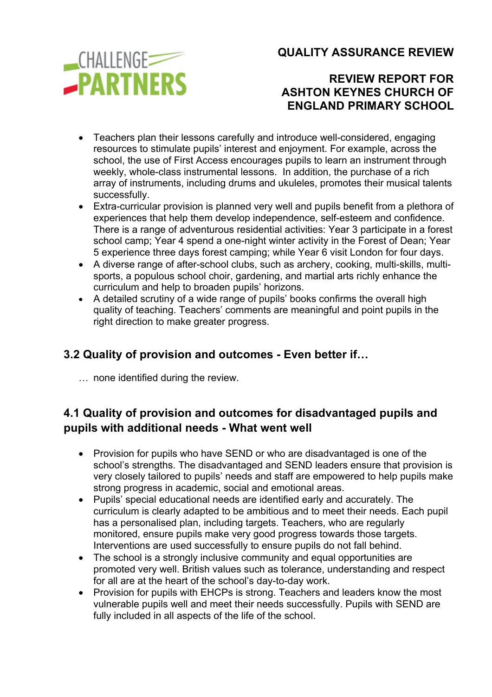**CHALLENGE -PARTNERS**  **QUALITY ASSURANCE REVIEW**

## **REVIEW REPORT FOR ASHTON KEYNES CHURCH OF ENGLAND PRIMARY SCHOOL**

- Teachers plan their lessons carefully and introduce well-considered, engaging resources to stimulate pupils' interest and enjoyment. For example, across the school, the use of First Access encourages pupils to learn an instrument through weekly, whole-class instrumental lessons. In addition, the purchase of a rich array of instruments, including drums and ukuleles, promotes their musical talents successfully.
- Extra-curricular provision is planned very well and pupils benefit from a plethora of experiences that help them develop independence, self-esteem and confidence. There is a range of adventurous residential activities: Year 3 participate in a forest school camp; Year 4 spend a one-night winter activity in the Forest of Dean; Year 5 experience three days forest camping; while Year 6 visit London for four days.
- A diverse range of after-school clubs, such as archery, cooking, multi-skills, multisports, a populous school choir, gardening, and martial arts richly enhance the curriculum and help to broaden pupils' horizons.
- A detailed scrutiny of a wide range of pupils' books confirms the overall high quality of teaching. Teachers' comments are meaningful and point pupils in the right direction to make greater progress.

## **3.2 Quality of provision and outcomes - Even better if…**

… none identified during the review.

# **4.1 Quality of provision and outcomes for disadvantaged pupils and pupils with additional needs - What went well**

- Provision for pupils who have SEND or who are disadvantaged is one of the school's strengths. The disadvantaged and SEND leaders ensure that provision is very closely tailored to pupils' needs and staff are empowered to help pupils make strong progress in academic, social and emotional areas.
- Pupils' special educational needs are identified early and accurately. The curriculum is clearly adapted to be ambitious and to meet their needs. Each pupil has a personalised plan, including targets. Teachers, who are regularly monitored, ensure pupils make very good progress towards those targets. Interventions are used successfully to ensure pupils do not fall behind.
- The school is a strongly inclusive community and equal opportunities are promoted very well. British values such as tolerance, understanding and respect for all are at the heart of the school's day-to-day work.
- Provision for pupils with EHCPs is strong. Teachers and leaders know the most vulnerable pupils well and meet their needs successfully. Pupils with SEND are fully included in all aspects of the life of the school.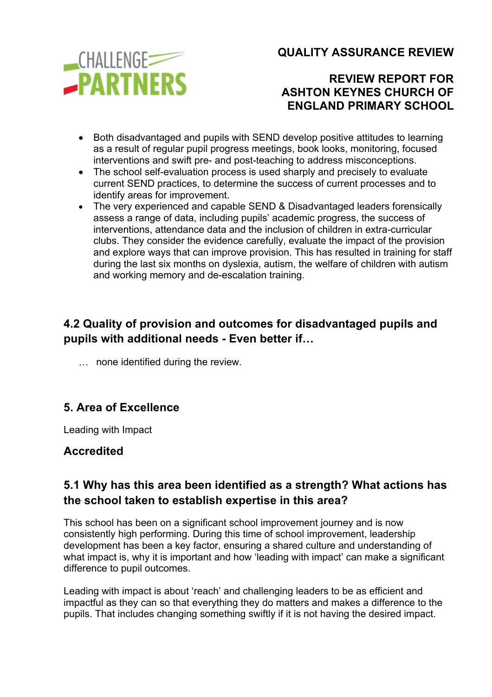

## **REVIEW REPORT FOR ASHTON KEYNES CHURCH OF ENGLAND PRIMARY SCHOOL**

- Both disadvantaged and pupils with SEND develop positive attitudes to learning as a result of regular pupil progress meetings, book looks, monitoring, focused interventions and swift pre- and post-teaching to address misconceptions.
- The school self-evaluation process is used sharply and precisely to evaluate current SEND practices, to determine the success of current processes and to identify areas for improvement.
- The very experienced and capable SEND & Disadvantaged leaders forensically assess a range of data, including pupils' academic progress, the success of interventions, attendance data and the inclusion of children in extra-curricular clubs. They consider the evidence carefully, evaluate the impact of the provision and explore ways that can improve provision. This has resulted in training for staff during the last six months on dyslexia, autism, the welfare of children with autism and working memory and de-escalation training.

# **4.2 Quality of provision and outcomes for disadvantaged pupils and pupils with additional needs - Even better if…**

… none identified during the review.

## **5. Area of Excellence**

Leading with Impact

### **Accredited**

## **5.1 Why has this area been identified as a strength? What actions has the school taken to establish expertise in this area?**

This school has been on a significant school improvement journey and is now consistently high performing. During this time of school improvement, leadership development has been a key factor, ensuring a shared culture and understanding of what impact is, why it is important and how 'leading with impact' can make a significant difference to pupil outcomes.

Leading with impact is about 'reach' and challenging leaders to be as efficient and impactful as they can so that everything they do matters and makes a difference to the pupils. That includes changing something swiftly if it is not having the desired impact.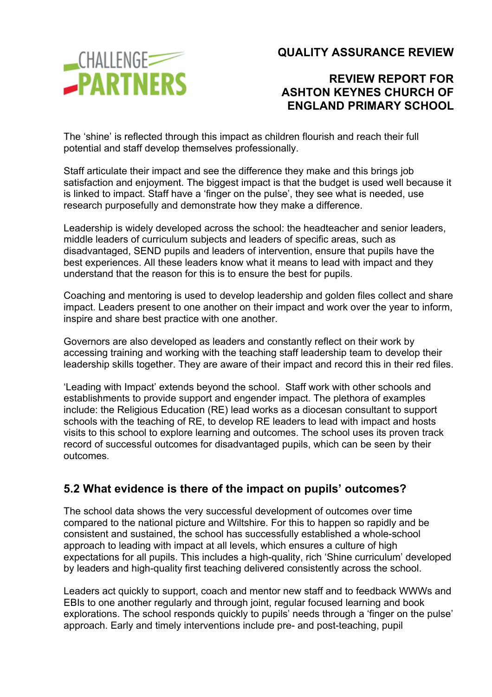

### **REVIEW REPORT FOR ASHTON KEYNES CHURCH OF ENGLAND PRIMARY SCHOOL**

The 'shine' is reflected through this impact as children flourish and reach their full potential and staff develop themselves professionally.

Staff articulate their impact and see the difference they make and this brings job satisfaction and enjoyment. The biggest impact is that the budget is used well because it is linked to impact. Staff have a 'finger on the pulse', they see what is needed, use research purposefully and demonstrate how they make a difference.

Leadership is widely developed across the school: the headteacher and senior leaders, middle leaders of curriculum subjects and leaders of specific areas, such as disadvantaged, SEND pupils and leaders of intervention, ensure that pupils have the best experiences. All these leaders know what it means to lead with impact and they understand that the reason for this is to ensure the best for pupils.

Coaching and mentoring is used to develop leadership and golden files collect and share impact. Leaders present to one another on their impact and work over the year to inform, inspire and share best practice with one another.

Governors are also developed as leaders and constantly reflect on their work by accessing training and working with the teaching staff leadership team to develop their leadership skills together. They are aware of their impact and record this in their red files.

'Leading with Impact' extends beyond the school. Staff work with other schools and establishments to provide support and engender impact. The plethora of examples include: the Religious Education (RE) lead works as a diocesan consultant to support schools with the teaching of RE, to develop RE leaders to lead with impact and hosts visits to this school to explore learning and outcomes. The school uses its proven track record of successful outcomes for disadvantaged pupils, which can be seen by their outcomes.

### **5.2 What evidence is there of the impact on pupils' outcomes?**

The school data shows the very successful development of outcomes over time compared to the national picture and Wiltshire. For this to happen so rapidly and be consistent and sustained, the school has successfully established a whole-school approach to leading with impact at all levels, which ensures a culture of high expectations for all pupils. This includes a high-quality, rich 'Shine curriculum' developed by leaders and high-quality first teaching delivered consistently across the school.

Leaders act quickly to support, coach and mentor new staff and to feedback WWWs and EBIs to one another regularly and through joint, regular focused learning and book explorations. The school responds quickly to pupils' needs through a 'finger on the pulse' approach. Early and timely interventions include pre- and post-teaching, pupil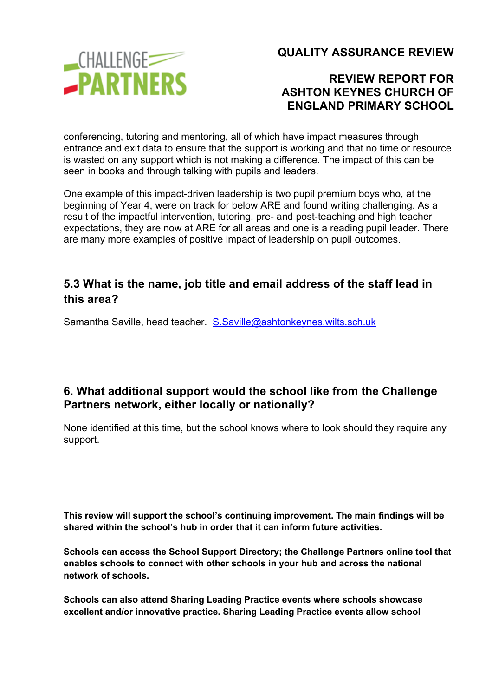

### **REVIEW REPORT FOR ASHTON KEYNES CHURCH OF ENGLAND PRIMARY SCHOOL**

conferencing, tutoring and mentoring, all of which have impact measures through entrance and exit data to ensure that the support is working and that no time or resource is wasted on any support which is not making a difference. The impact of this can be seen in books and through talking with pupils and leaders.

One example of this impact-driven leadership is two pupil premium boys who, at the beginning of Year 4, were on track for below ARE and found writing challenging. As a result of the impactful intervention, tutoring, pre- and post-teaching and high teacher expectations, they are now at ARE for all areas and one is a reading pupil leader. There are many more examples of positive impact of leadership on pupil outcomes.

### **5.3 What is the name, job title and email address of the staff lead in this area?**

Samantha Saville, head teacher. S.Saville@ashtonkeynes.wilts.sch.uk

#### **6. What additional support would the school like from the Challenge Partners network, either locally or nationally?**

None identified at this time, but the school knows where to look should they require any support.

**This review will support the school's continuing improvement. The main findings will be shared within the school's hub in order that it can inform future activities.**

**Schools can access the School Support Directory; the Challenge Partners online tool that enables schools to connect with other schools in your hub and across the national network of schools.**

**Schools can also attend Sharing Leading Practice events where schools showcase excellent and/or innovative practice. Sharing Leading Practice events allow school**